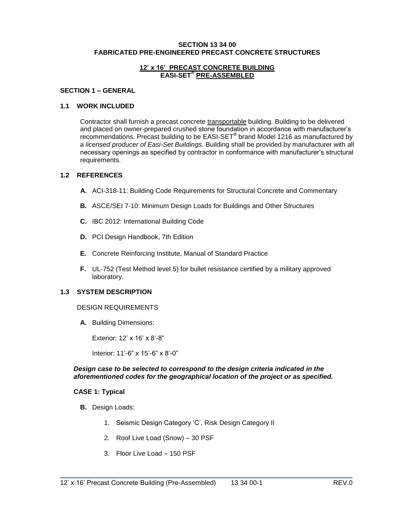#### **SECTION 13 34 00 FABRICATED PRE-ENGINEERED PRECAST CONCRETE STRUCTURES**

### **12' x 16' PRECAST CONCRETE BUILDING EASI-SET® PRE-ASSEMBLED**

#### **SECTION 1 – GENERAL**

### **1.1 WORK INCLUDED**

Contractor shall furnish a precast concrete transportable building. Building to be delivered and placed on owner-prepared crushed stone foundation in accordance with manufacturer's recommendations. Precast building to be EASI-SET**®** brand Model 1216 as manufactured by a *licensed producer of Easi-Set Buildings*. Building shall be provided by manufacturer with all necessary openings as specified by contractor in conformance with manufacturer's structural requirements.

#### **1.2 REFERENCES**

- **A.** ACI-318-11: Building Code Requirements for Structural Concrete and Commentary
- **B.** ASCE/SEI 7-10: Minimum Design Loads for Buildings and Other Structures
- **C.** IBC 2012: International Building Code
- **D.** PCI Design Handbook, 7th Edition
- **E.** Concrete Reinforcing Institute, Manual of Standard Practice
- **F.** UL-752 (Test Method level 5) for bullet resistance certified by a military approved laboratory.

#### **1.3 SYSTEM DESCRIPTION**

#### DESIGN REQUIREMENTS

**A.** Building Dimensions:

Exterior: 12' x 16' x 8'-8"

Interior: 11'-6" x 15'-6" x 8'-0"

#### *Design case to be selected to correspond to the design criteria indicated in the aforementioned codes for the geographical location of the project or as specified.*

\_\_\_\_\_\_\_\_\_\_\_\_\_\_\_\_\_\_\_\_\_\_\_\_\_\_\_\_\_\_\_\_\_\_\_\_\_\_\_\_\_\_\_\_\_\_\_\_\_\_\_\_\_\_\_\_\_\_\_\_\_\_\_\_\_\_\_\_\_\_\_\_\_

#### **CASE 1: Typical**

- **B.** Design Loads:
	- 1. Seismic Design Category 'C', Risk Design Category II
	- 2. Roof Live Load (Snow) 30 PSF
	- 3. Floor Live Load 150 PSF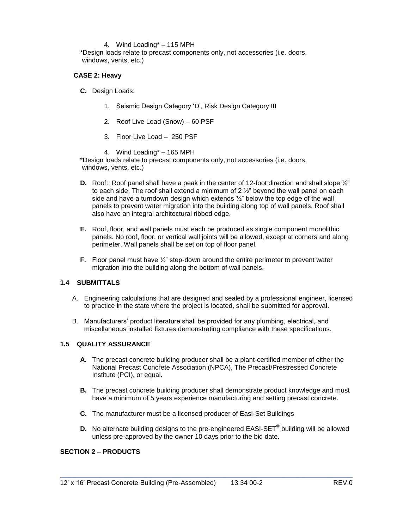### 4. Wind Loading\* – 115 MPH

\*Design loads relate to precast components only, not accessories (i.e. doors, windows, vents, etc.)

### **CASE 2: Heavy**

**C.** Design Loads:

- 1. Seismic Design Category 'D', Risk Design Category III
- 2. Roof Live Load (Snow) 60 PSF
- 3. Floor Live Load 250 PSF
- 4. Wind Loading\* 165 MPH

\*Design loads relate to precast components only, not accessories (i.e. doors, windows, vents, etc.)

- **D.** Roof: Roof panel shall have a peak in the center of 12-foot direction and shall slope  $\frac{1}{2}$ " to each side. The roof shall extend a minimum of  $2\frac{1}{2}$ " beyond the wall panel on each side and have a turndown design which extends  $\frac{1}{2}$ " below the top edge of the wall panels to prevent water migration into the building along top of wall panels. Roof shall also have an integral architectural ribbed edge.
- **E.** Roof, floor, and wall panels must each be produced as single component monolithic panels. No roof, floor, or vertical wall joints will be allowed, except at corners and along perimeter. Wall panels shall be set on top of floor panel.
- **F.** Floor panel must have  $\frac{1}{2}$ " step-down around the entire perimeter to prevent water migration into the building along the bottom of wall panels.

### **1.4 SUBMITTALS**

- A. Engineering calculations that are designed and sealed by a professional engineer, licensed to practice in the state where the project is located, shall be submitted for approval.
- B. Manufacturers' product literature shall be provided for any plumbing, electrical, and miscellaneous installed fixtures demonstrating compliance with these specifications.

### **1.5 QUALITY ASSURANCE**

- **A.** The precast concrete building producer shall be a plant-certified member of either the National Precast Concrete Association (NPCA), The Precast/Prestressed Concrete Institute (PCI), or equal.
- **B.** The precast concrete building producer shall demonstrate product knowledge and must have a minimum of 5 years experience manufacturing and setting precast concrete.
- **C.** The manufacturer must be a licensed producer of Easi-Set Buildings
- **D.** No alternate building designs to the pre-engineered EASI-SET**®** building will be allowed unless pre-approved by the owner 10 days prior to the bid date.

\_\_\_\_\_\_\_\_\_\_\_\_\_\_\_\_\_\_\_\_\_\_\_\_\_\_\_\_\_\_\_\_\_\_\_\_\_\_\_\_\_\_\_\_\_\_\_\_\_\_\_\_\_\_\_\_\_\_\_\_\_\_\_\_\_\_\_\_\_\_\_\_\_

### **SECTION 2 – PRODUCTS**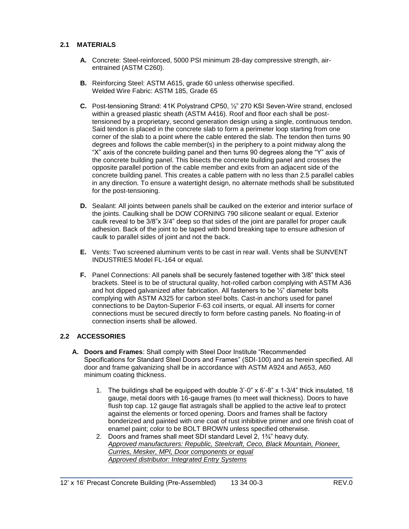# **2.1 MATERIALS**

- **A.** Concrete: Steel-reinforced, 5000 PSI minimum 28-day compressive strength, airentrained (ASTM C260).
- **B.** Reinforcing Steel: ASTM A615, grade 60 unless otherwise specified. Welded Wire Fabric: ASTM 185, Grade 65
- **C.** Post-tensioning Strand: 41K Polystrand CP50, ½" 270 KSI Seven-Wire strand, enclosed within a greased plastic sheath (ASTM A416). Roof and floor each shall be posttensioned by a proprietary, second generation design using a single, continuous tendon. Said tendon is placed in the concrete slab to form a perimeter loop starting from one corner of the slab to a point where the cable entered the slab. The tendon then turns 90 degrees and follows the cable member(s) in the periphery to a point midway along the "X" axis of the concrete building panel and then turns 90 degrees along the "Y" axis of the concrete building panel. This bisects the concrete building panel and crosses the opposite parallel portion of the cable member and exits from an adjacent side of the concrete building panel. This creates a cable pattern with no less than 2.5 parallel cables in any direction. To ensure a watertight design, no alternate methods shall be substituted for the post-tensioning.
- **D.** Sealant: All joints between panels shall be caulked on the exterior and interior surface of the joints. Caulking shall be DOW CORNING 790 silicone sealant or equal. Exterior caulk reveal to be 3/8"x 3/4" deep so that sides of the joint are parallel for proper caulk adhesion. Back of the joint to be taped with bond breaking tape to ensure adhesion of caulk to parallel sides of joint and not the back.
- **E.** Vents: Two screened aluminum vents to be cast in rear wall. Vents shall be SUNVENT INDUSTRIES Model FL-164 or equal.
- **F.** Panel Connections: All panels shall be securely fastened together with 3/8" thick steel brackets. Steel is to be of structural quality, hot-rolled carbon complying with ASTM A36 and hot dipped galvanized after fabrication. All fasteners to be ½" diameter bolts complying with ASTM A325 for carbon steel bolts. Cast-in anchors used for panel connections to be Dayton-Superior F-63 coil inserts, or equal. All inserts for corner connections must be secured directly to form before casting panels. No floating-in of connection inserts shall be allowed.

## **2.2 ACCESSORIES**

- **A. Doors and Frames**: Shall comply with Steel Door Institute "Recommended Specifications for Standard Steel Doors and Frames" (SDI-100) and as herein specified. All door and frame galvanizing shall be in accordance with ASTM A924 and A653, A60 minimum coating thickness.
	- 1. The buildings shall be equipped with double 3'-0" x 6'-8" x 1-3/4" thick insulated, 18 gauge, metal doors with 16-gauge frames (to meet wall thickness). Doors to have flush top cap. 12 gauge flat astragals shall be applied to the active leaf to protect against the elements or forced opening. Doors and frames shall be factory bonderized and painted with one coat of rust inhibitive primer and one finish coat of enamel paint; color to be BOLT BROWN unless specified otherwise.
	- 2. Doors and frames shall meet SDI standard Level 2, 1¾" heavy duty. *Approved manufacturers: Republic, Steelcraft, Ceco, Black Mountain, Pioneer, Curries, Mesker, MPI, Door components or equal Approved distributor: Integrated Entry Systems*

\_\_\_\_\_\_\_\_\_\_\_\_\_\_\_\_\_\_\_\_\_\_\_\_\_\_\_\_\_\_\_\_\_\_\_\_\_\_\_\_\_\_\_\_\_\_\_\_\_\_\_\_\_\_\_\_\_\_\_\_\_\_\_\_\_\_\_\_\_\_\_\_\_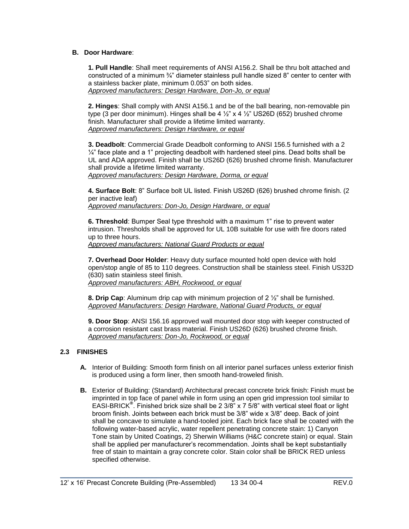### **B. Door Hardware**:

**1. Pull Handle**: Shall meet requirements of ANSI A156.2. Shall be thru bolt attached and constructed of a minimum ¾" diameter stainless pull handle sized 8" center to center with a stainless backer plate, minimum 0.053" on both sides. *Approved manufacturers: Design Hardware, Don-Jo, or equal*

**2. Hinges**: Shall comply with ANSI A156.1 and be of the ball bearing, non-removable pin type (3 per door minimum). Hinges shall be 4  $\frac{1}{2}$ " x 4  $\frac{1}{2}$ " US26D (652) brushed chrome finish. Manufacturer shall provide a lifetime limited warranty. *Approved manufacturers: Design Hardware, or equal*

**3. Deadbolt**: Commercial Grade Deadbolt conforming to ANSI 156.5 furnished with a 2  $\frac{1}{4}$ " face plate and a 1" projecting deadbolt with hardened steel pins. Dead bolts shall be UL and ADA approved. Finish shall be US26D (626) brushed chrome finish. Manufacturer shall provide a lifetime limited warranty.

*Approved manufacturers: Design Hardware, Dorma, or equal*

**4. Surface Bolt**: 8" Surface bolt UL listed. Finish US26D (626) brushed chrome finish. (2 per inactive leaf)

*Approved manufacturers: Don-Jo, Design Hardware, or equal*

**6. Threshold**: Bumper Seal type threshold with a maximum 1" rise to prevent water intrusion. Thresholds shall be approved for UL 10B suitable for use with fire doors rated up to three hours.

*Approved manufacturers: National Guard Products or equal* 

**7. Overhead Door Holder**: Heavy duty surface mounted hold open device with hold open/stop angle of 85 to 110 degrees. Construction shall be stainless steel. Finish US32D (630) satin stainless steel finish. *Approved manufacturers: ABH, Rockwood, or equal*

**8. Drip Cap**: Aluminum drip cap with minimum projection of 2 ½" shall be furnished. *Approved Manufacturers: Design Hardware, National Guard Products, or equal*

**9. Door Stop**: ANSI 156.16 approved wall mounted door stop with keeper constructed of a corrosion resistant cast brass material. Finish US26D (626) brushed chrome finish. *Approved manufacturers: Don-Jo, Rockwood, or equal*

## **2.3 FINISHES**

- **A.** Interior of Building: Smooth form finish on all interior panel surfaces unless exterior finish is produced using a form liner, then smooth hand-troweled finish.
- **B.** Exterior of Building: (Standard) Architectural precast concrete brick finish: Finish must be imprinted in top face of panel while in form using an open grid impression tool similar to EASI-BRICK**®** . Finished brick size shall be 2 3/8" x 7 5/8" with vertical steel float or light broom finish. Joints between each brick must be 3/8" wide x 3/8" deep. Back of joint shall be concave to simulate a hand-tooled joint. Each brick face shall be coated with the following water-based acrylic, water repellent penetrating concrete stain: 1) Canyon Tone stain by United Coatings, 2) Sherwin Williams (H&C concrete stain) or equal. Stain shall be applied per manufacturer's recommendation. Joints shall be kept substantially free of stain to maintain a gray concrete color. Stain color shall be BRICK RED unless specified otherwise.

\_\_\_\_\_\_\_\_\_\_\_\_\_\_\_\_\_\_\_\_\_\_\_\_\_\_\_\_\_\_\_\_\_\_\_\_\_\_\_\_\_\_\_\_\_\_\_\_\_\_\_\_\_\_\_\_\_\_\_\_\_\_\_\_\_\_\_\_\_\_\_\_\_